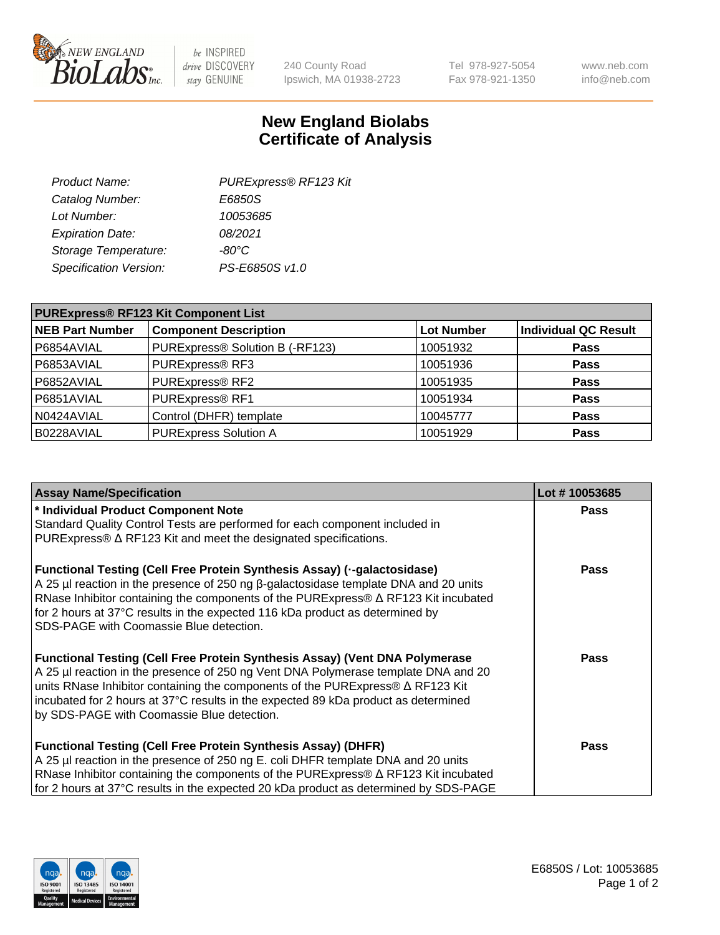

 $be$  INSPIRED drive DISCOVERY stay GENUINE

240 County Road Ipswich, MA 01938-2723 Tel 978-927-5054 Fax 978-921-1350 www.neb.com info@neb.com

## **New England Biolabs Certificate of Analysis**

| Product Name:           | PURExpress® RF123 Kit |
|-------------------------|-----------------------|
| Catalog Number:         | E6850S                |
| Lot Number:             | 10053685              |
| <b>Expiration Date:</b> | 08/2021               |
| Storage Temperature:    | $-80^{\circ}$ C       |
| Specification Version:  | PS-E6850S v1.0        |
|                         |                       |

| <b>PURExpress® RF123 Kit Component List</b> |                                 |                   |                      |  |
|---------------------------------------------|---------------------------------|-------------------|----------------------|--|
| <b>NEB Part Number</b>                      | <b>Component Description</b>    | <b>Lot Number</b> | Individual QC Result |  |
| P6854AVIAL                                  | PURExpress® Solution B (-RF123) | 10051932          | <b>Pass</b>          |  |
| P6853AVIAL                                  | PURExpress® RF3                 | 10051936          | <b>Pass</b>          |  |
| P6852AVIAL                                  | PURExpress® RF2                 | 10051935          | <b>Pass</b>          |  |
| P6851AVIAL                                  | PURExpress® RF1                 | 10051934          | <b>Pass</b>          |  |
| N0424AVIAL                                  | Control (DHFR) template         | 10045777          | <b>Pass</b>          |  |
| B0228AVIAL                                  | <b>PURExpress Solution A</b>    | 10051929          | <b>Pass</b>          |  |

| <b>Assay Name/Specification</b>                                                                                                                                                                                                                                                                                                                                                                       | Lot #10053685 |
|-------------------------------------------------------------------------------------------------------------------------------------------------------------------------------------------------------------------------------------------------------------------------------------------------------------------------------------------------------------------------------------------------------|---------------|
| * Individual Product Component Note                                                                                                                                                                                                                                                                                                                                                                   | <b>Pass</b>   |
| Standard Quality Control Tests are performed for each component included in<br>PURExpress® ∆ RF123 Kit and meet the designated specifications.                                                                                                                                                                                                                                                        |               |
| Functional Testing (Cell Free Protein Synthesis Assay) (--galactosidase)<br>A 25 µl reaction in the presence of 250 ng β-galactosidase template DNA and 20 units<br>RNase Inhibitor containing the components of the PURExpress® $\Delta$ RF123 Kit incubated<br>for 2 hours at 37°C results in the expected 116 kDa product as determined by<br>SDS-PAGE with Coomassie Blue detection.              | <b>Pass</b>   |
| <b>Functional Testing (Cell Free Protein Synthesis Assay) (Vent DNA Polymerase</b><br>A 25 µl reaction in the presence of 250 ng Vent DNA Polymerase template DNA and 20<br>units RNase Inhibitor containing the components of the PURExpress® $\Delta$ RF123 Kit<br>incubated for 2 hours at 37°C results in the expected 89 kDa product as determined<br>by SDS-PAGE with Coomassie Blue detection. | <b>Pass</b>   |
| <b>Functional Testing (Cell Free Protein Synthesis Assay) (DHFR)</b><br>A 25 µl reaction in the presence of 250 ng E. coli DHFR template DNA and 20 units<br>RNase Inhibitor containing the components of the PURExpress® $\Delta$ RF123 Kit incubated<br>for 2 hours at 37°C results in the expected 20 kDa product as determined by SDS-PAGE                                                        | <b>Pass</b>   |